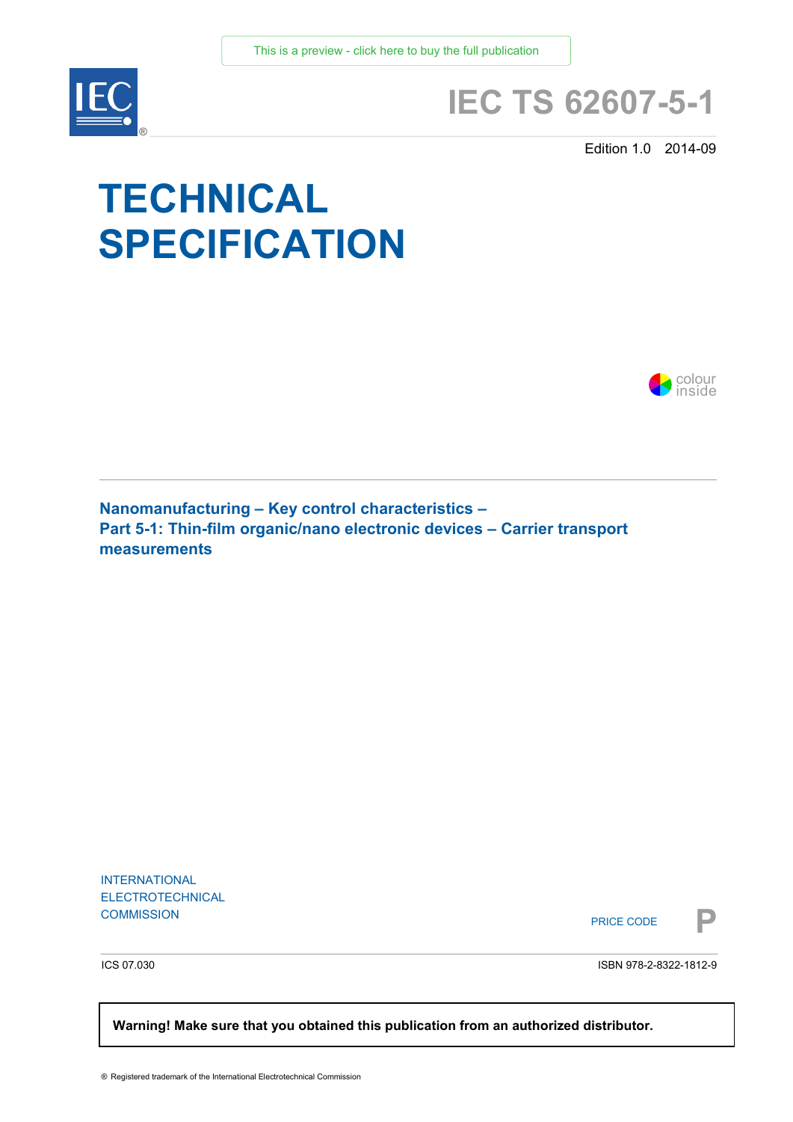

## **IEC TS 62607-5-1**

Edition 1.0 2014-09

# **TECHNICAL SPECIFICATION**



**Nanomanufacturing – Key control characteristics – Part 5-1: Thin-film organic/nano electronic devices – Carrier transport measurements**

INTERNATIONAL ELECTROTECHNICAL **COMMISSION**<br> **PRICE CODE** 

PRICE CODE



ICS 07.030

ISBN 978-2-8322-1812-9

 **Warning! Make sure that you obtained this publication from an authorized distributor.**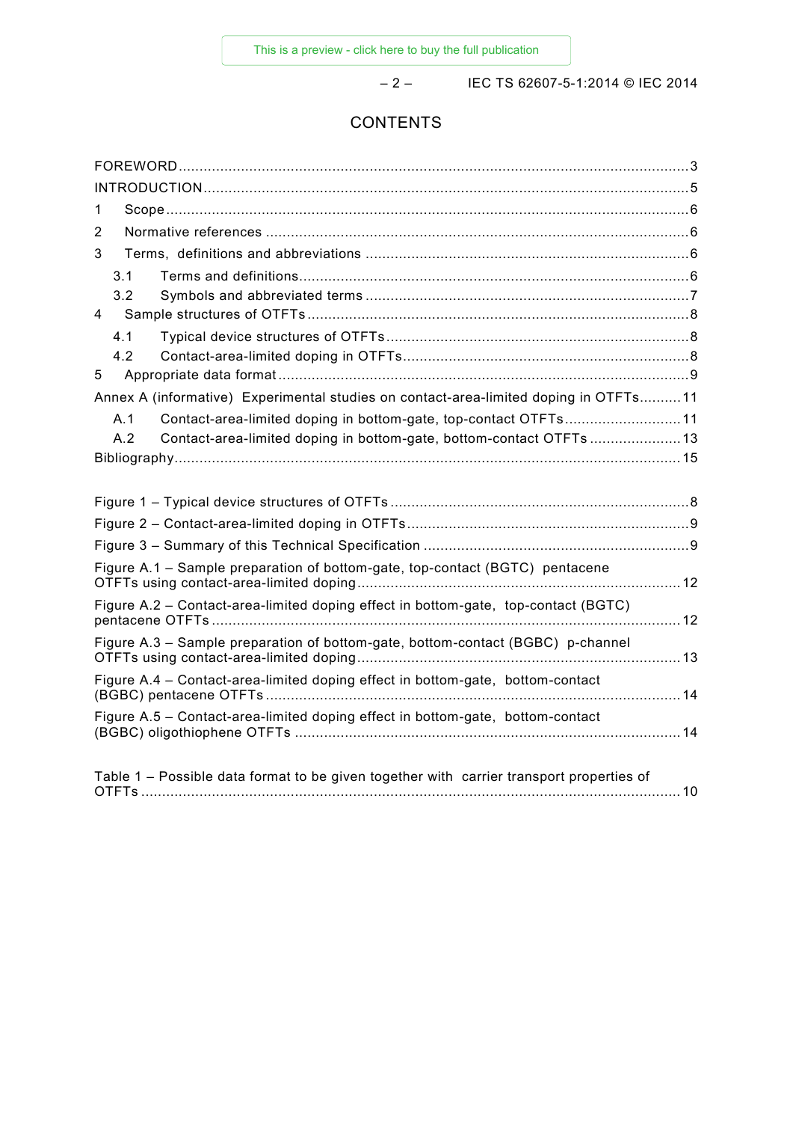– 2 – IEC TS 62607-5-1:2014 © IEC 2014

### CONTENTS

| 1                                                                                    |  |
|--------------------------------------------------------------------------------------|--|
| 2                                                                                    |  |
| 3                                                                                    |  |
| 3.1                                                                                  |  |
| 3.2                                                                                  |  |
| $\overline{4}$                                                                       |  |
| 4.1                                                                                  |  |
| 4.2                                                                                  |  |
| 5                                                                                    |  |
| Annex A (informative) Experimental studies on contact-area-limited doping in OTFTs11 |  |
| A.1<br>Contact-area-limited doping in bottom-gate, top-contact OTFTs11               |  |
| A.2<br>Contact-area-limited doping in bottom-gate, bottom-contact OTFTs13            |  |
|                                                                                      |  |
|                                                                                      |  |
|                                                                                      |  |
|                                                                                      |  |
|                                                                                      |  |
|                                                                                      |  |
| Figure A.1 – Sample preparation of bottom-gate, top-contact (BGTC) pentacene         |  |
| Figure A.2 - Contact-area-limited doping effect in bottom-gate, top-contact (BGTC)   |  |
| Figure A.3 - Sample preparation of bottom-gate, bottom-contact (BGBC) p-channel      |  |
| Figure A.4 - Contact-area-limited doping effect in bottom-gate, bottom-contact       |  |
| Figure A.5 - Contact-area-limited doping effect in bottom-gate, bottom-contact       |  |

Table 1 – Possible data format to be given together with carrier transport properties of

OTFTs .................................................................................................................................. 10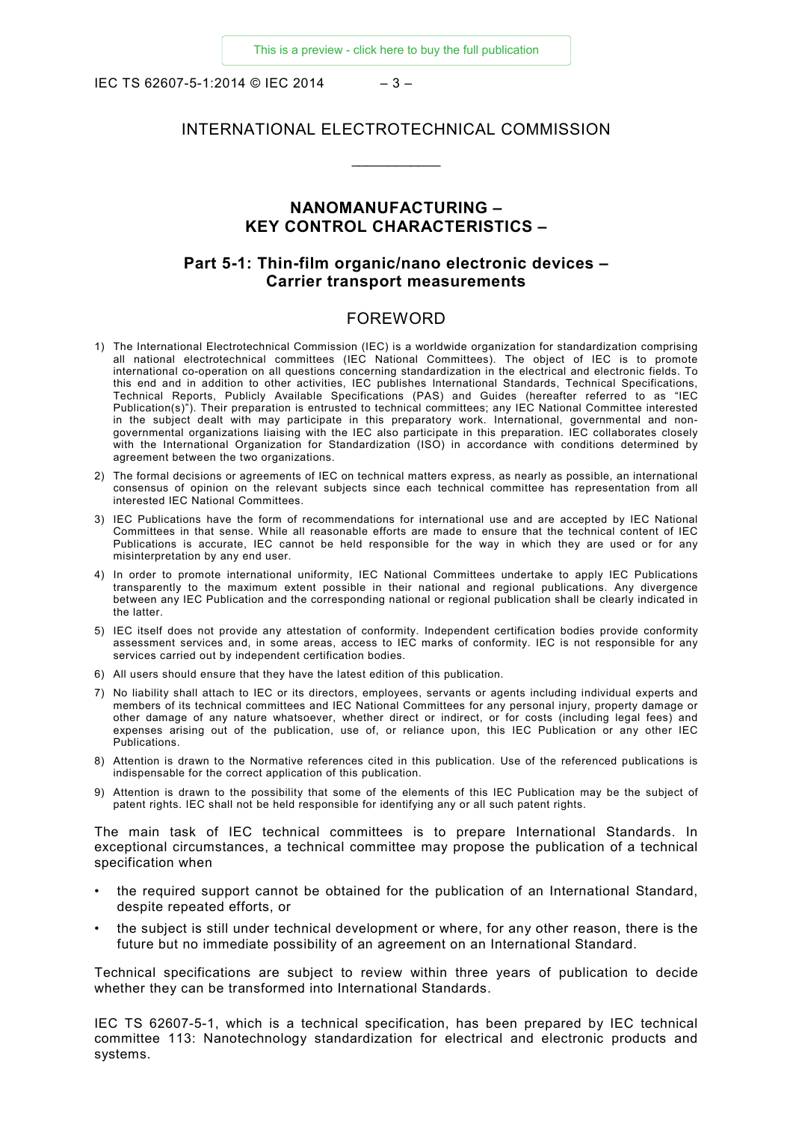IEC TS 62607-5-1:2014 © IEC 2014 – 3 –

#### INTERNATIONAL ELECTROTECHNICAL COMMISSION

 $\overline{\phantom{a}}$ 

#### **NANOMANUFACTURING – KEY CONTROL CHARACTERISTICS –**

#### **Part 5-1: Thin-film organic/nano electronic devices – Carrier transport measurements**

#### FOREWORD

- <span id="page-2-0"></span>1) The International Electrotechnical Commission (IEC) is a worldwide organization for standardization comprising all national electrotechnical committees (IEC National Committees). The object of IEC is to promote international co-operation on all questions concerning standardization in the electrical and electronic fields. To this end and in addition to other activities, IEC publishes International Standards, Technical Specifications, Technical Reports, Publicly Available Specifications (PAS) and Guides (hereafter referred to as "IEC Publication(s)"). Their preparation is entrusted to technical committees; any IEC National Committee interested in the subject dealt with may participate in this preparatory work. International, governmental and nongovernmental organizations liaising with the IEC also participate in this preparation. IEC collaborates closely with the International Organization for Standardization (ISO) in accordance with conditions determined by agreement between the two organizations.
- 2) The formal decisions or agreements of IEC on technical matters express, as nearly as possible, an international consensus of opinion on the relevant subjects since each technical committee has representation from all interested IEC National Committees.
- 3) IEC Publications have the form of recommendations for international use and are accepted by IEC National Committees in that sense. While all reasonable efforts are made to ensure that the technical content of IEC Publications is accurate, IEC cannot be held responsible for the way in which they are used or for any misinterpretation by any end user.
- 4) In order to promote international uniformity, IEC National Committees undertake to apply IEC Publications transparently to the maximum extent possible in their national and regional publications. Any divergence between any IEC Publication and the corresponding national or regional publication shall be clearly indicated in the latter.
- 5) IEC itself does not provide any attestation of conformity. Independent certification bodies provide conformity assessment services and, in some areas, access to IEC marks of conformity. IEC is not responsible for any services carried out by independent certification bodies.
- 6) All users should ensure that they have the latest edition of this publication.
- 7) No liability shall attach to IEC or its directors, employees, servants or agents including individual experts and members of its technical committees and IEC National Committees for any personal injury, property damage or other damage of any nature whatsoever, whether direct or indirect, or for costs (including legal fees) and expenses arising out of the publication, use of, or reliance upon, this IEC Publication or any other IEC Publications.
- 8) Attention is drawn to the Normative references cited in this publication. Use of the referenced publications is indispensable for the correct application of this publication.
- 9) Attention is drawn to the possibility that some of the elements of this IEC Publication may be the subject of patent rights. IEC shall not be held responsible for identifying any or all such patent rights.

The main task of IEC technical committees is to prepare International Standards. In exceptional circumstances, a technical committee may propose the publication of a technical specification when

- the required support cannot be obtained for the publication of an International Standard, despite repeated efforts, or
- the subject is still under technical development or where, for any other reason, there is the future but no immediate possibility of an agreement on an International Standard.

Technical specifications are subject to review within three years of publication to decide whether they can be transformed into International Standards.

IEC TS 62607-5-1, which is a technical specification, has been prepared by IEC technical committee 113: Nanotechnology standardization for electrical and electronic products and systems.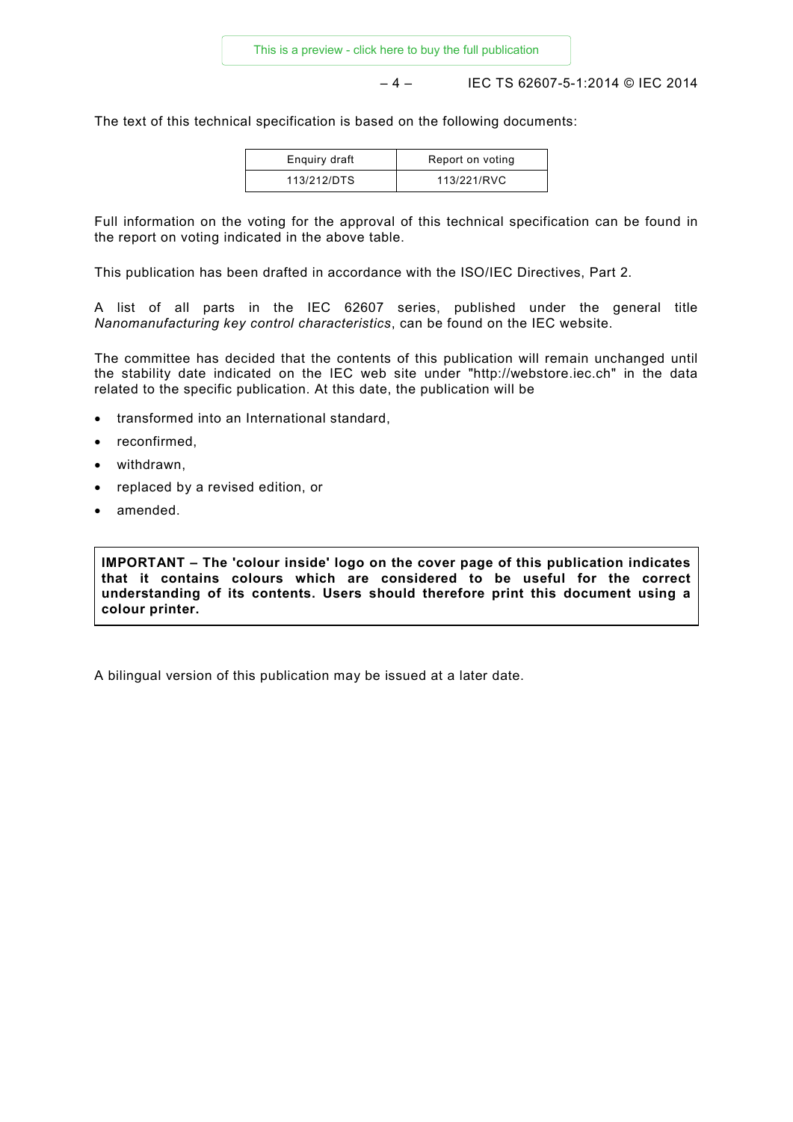– 4 – IEC TS 62607-5-1:2014 © IEC 2014

The text of this technical specification is based on the following documents:

| Enquiry draft | Report on voting |
|---------------|------------------|
| 113/212/DTS   | 113/221/RVC      |

Full information on the voting for the approval of this technical specification can be found in the report on voting indicated in the above table.

This publication has been drafted in accordance with the ISO/IEC Directives, Part 2.

A list of all parts in the IEC 62607 series, published under the general title *Nanomanufacturing key control characteristics*, can be found on the IEC website.

The committee has decided that the contents of this publication will remain unchanged until the stability date indicated on the IEC web site under "http://webstore.iec.ch" in the data related to the specific publication. At this date, the publication will be

- transformed into an International standard,
- reconfirmed,
- withdrawn,
- replaced by a revised edition, or
- amended.

**IMPORTANT – The 'colour inside' logo on the cover page of this publication indicates that it contains colours which are considered to be useful for the correct understanding of its contents. Users should therefore print this document using a colour printer.**

A bilingual version of this publication may be issued at a later date.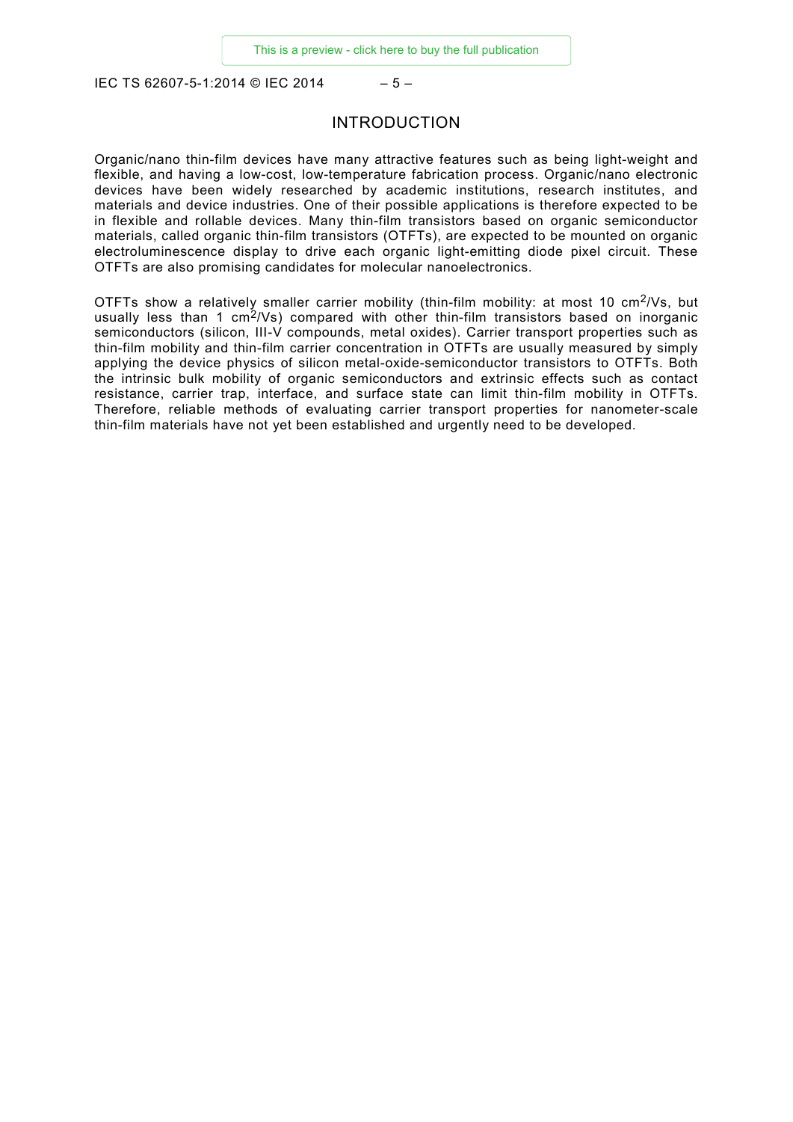<span id="page-4-0"></span>IEC TS 62607-5-1:2014 © IEC 2014  $-5-$ 

#### INTRODUCTION

Organic/nano thin-film devices have many attractive features such as being light-weight and flexible, and having a low-cost, low-temperature fabrication process. Organic/nano electronic devices have been widely researched by academic institutions, research institutes, and materials and device industries. One of their possible applications is therefore expected to be in flexible and rollable devices. Many thin-film transistors based on organic semiconductor materials, called organic thin-film transistors (OTFTs), are expected to be mounted on organic electroluminescence display to drive each organic light-emitting diode pixel circuit. These OTFTs are also promising candidates for molecular nanoelectronics.

OTFTs show a relatively smaller carrier mobility (thin-film mobility: at most 10 cm<sup>2</sup>/Vs, but usually less than 1  $\text{cm}^2/\text{Vs}$  compared with other thin-film transistors based on inorganic semiconductors (silicon, III-V compounds, metal oxides). Carrier transport properties such as thin-film mobility and thin-film carrier concentration in OTFTs are usually measured by simply applying the device physics of silicon metal-oxide-semiconductor transistors to OTFTs. Both the intrinsic bulk mobility of organic semiconductors and extrinsic effects such as contact resistance, carrier trap, interface, and surface state can limit thin-film mobility in OTFTs. Therefore, reliable methods of evaluating carrier transport properties for nanometer-scale thin-film materials have not yet been established and urgently need to be developed.